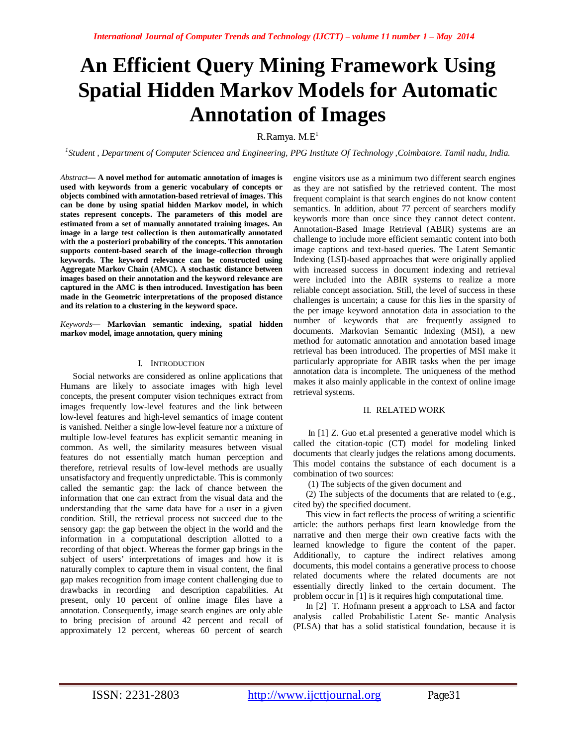# **An Efficient Query Mining Framework Using Spatial Hidden Markov Models for Automatic Annotation of Images**

R.Ramya.  $M.E<sup>1</sup>$ 

*1 Student , Department of Computer Sciencea and Engineering, PPG Institute Of Technology ,Coimbatore. Tamil nadu, India.* 

*Abstract***— A novel method for automatic annotation of images is used with keywords from a generic vocabulary of concepts or objects combined with annotation-based retrieval of images. This can be done by using spatial hidden Markov model, in which states represent concepts. The parameters of this model are estimated from a set of manually annotated training images. An image in a large test collection is then automatically annotated with the a posteriori probability of the concepts. This annotation supports content-based search of the image-collection through keywords. The keyword relevance can be constructed using Aggregate Markov Chain (AMC). A stochastic distance between images based on their annotation and the keyword relevance are captured in the AMC is then introduced. Investigation has been made in the Geometric interpretations of the proposed distance and its relation to a clustering in the keyword space.**

*Keywords***— Markovian semantic indexing, spatial hidden markov model, image annotation, query mining** 

#### I. INTRODUCTION

Social networks are considered as online applications that Humans are likely to associate images with high level concepts, the present computer vision techniques extract from images frequently low-level features and the link between low-level features and high-level semantics of image content is vanished. Neither a single low-level feature nor a mixture of multiple low-level features has explicit semantic meaning in common. As well, the similarity measures between visual features do not essentially match human perception and therefore, retrieval results of low-level methods are usually unsatisfactory and frequently unpredictable. This is commonly called the semantic gap: the lack of chance between the information that one can extract from the visual data and the understanding that the same data have for a user in a given condition. Still, the retrieval process not succeed due to the sensory gap: the gap between the object in the world and the information in a computational description allotted to a recording of that object. Whereas the former gap brings in the subject of users' interpretations of images and how it is naturally complex to capture them in visual content, the final gap makes recognition from image content challenging due to drawbacks in recording and description capabilities. At present, only 10 percent of online image files have a annotation. Consequently, image search engines are only able to bring precision of around 42 percent and recall of approximately 12 percent, whereas 60 percent of **s**earch

engine visitors use as a minimum two different search engines as they are not satisfied by the retrieved content. The most frequent complaint is that search engines do not know content semantics. In addition, about 77 percent of searchers modify keywords more than once since they cannot detect content. Annotation-Based Image Retrieval (ABIR) systems are an challenge to include more efficient semantic content into both image captions and text-based queries. The Latent Semantic Indexing (LSI)-based approaches that were originally applied with increased success in document indexing and retrieval were included into the ABIR systems to realize a more reliable concept association. Still, the level of success in these challenges is uncertain; a cause for this lies in the sparsity of the per image keyword annotation data in association to the number of keywords that are frequently assigned to documents. Markovian Semantic Indexing (MSI), a new method for automatic annotation and annotation based image retrieval has been introduced. The properties of MSI make it particularly appropriate for ABIR tasks when the per image annotation data is incomplete. The uniqueness of the method makes it also mainly applicable in the context of online image retrieval systems.

#### II. RELATED WORK

In [1] Z. Guo et.al presented a generative model which is called the citation-topic (CT) model for modeling linked documents that clearly judges the relations among documents. This model contains the substance of each document is a combination of two sources:

(1) The subjects of the given document and

(2) The subjects of the documents that are related to (e.g., cited by) the specified document.

This view in fact reflects the process of writing a scientific article: the authors perhaps first learn knowledge from the narrative and then merge their own creative facts with the learned knowledge to figure the content of the paper. Additionally, to capture the indirect relatives among documents, this model contains a generative process to choose related documents where the related documents are not essentially directly linked to the certain document. The problem occur in [1] is it requires high computational time.

In [2] T. Hofmann present a approach to LSA and factor analysis called Probabilistic Latent Se- mantic Analysis (PLSA) that has a solid statistical foundation, because it is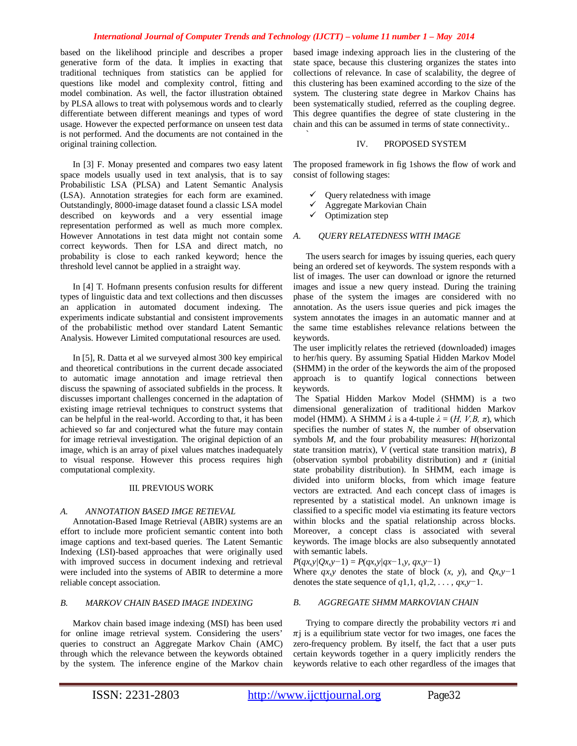#### *International Journal of Computer Trends and Technology (IJCTT) – volume 11 number 1 – May 2014*

`

based on the likelihood principle and describes a proper generative form of the data. It implies in exacting that traditional techniques from statistics can be applied for questions like model and complexity control, fitting and model combination. As well, the factor illustration obtained by PLSA allows to treat with polysemous words and to clearly differentiate between different meanings and types of word usage. However the expected performance on unseen test data is not performed. And the documents are not contained in the original training collection.

In [3] F. Monay presented and compares two easy latent space models usually used in text analysis, that is to say Probabilistic LSA (PLSA) and Latent Semantic Analysis (LSA). Annotation strategies for each form are examined. Outstandingly, 8000-image dataset found a classic LSA model described on keywords and a very essential image representation performed as well as much more complex. However Annotations in test data might not contain some correct keywords. Then for LSA and direct match, no probability is close to each ranked keyword; hence the threshold level cannot be applied in a straight way.

In [4] T. Hofmann presents confusion results for different types of linguistic data and text collections and then discusses an application in automated document indexing. The experiments indicate substantial and consistent improvements of the probabilistic method over standard Latent Semantic Analysis. However Limited computational resources are used.

In [5], R. Datta et al we surveyed almost 300 key empirical and theoretical contributions in the current decade associated to automatic image annotation and image retrieval then discuss the spawning of associated subfields in the process. It discusses important challenges concerned in the adaptation of existing image retrieval techniques to construct systems that can be helpful in the real-world. According to that, it has been achieved so far and conjectured what the future may contain for image retrieval investigation. The original depiction of an image, which is an array of pixel values matches inadequately to visual response. However this process requires high computational complexity.

#### III. PREVIOUS WORK

#### *A. ANNOTATION BASED IMGE RETIEVAL*

Annotation-Based Image Retrieval (ABIR) systems are an effort to include more proficient semantic content into both image captions and text-based queries. The Latent Semantic Indexing (LSI)-based approaches that were originally used with improved success in document indexing and retrieval were included into the systems of ABIR to determine a more reliable concept association.

## *B. MARKOV CHAIN BASED IMAGE INDEXING*

Markov chain based image indexing (MSI) has been used for online image retrieval system. Considering the users' queries to construct an Aggregate Markov Chain (AMC) through which the relevance between the keywords obtained by the system. The inference engine of the Markov chain

based image indexing approach lies in the clustering of the state space, because this clustering organizes the states into collections of relevance. In case of scalability, the degree of this clustering has been examined according to the size of the system. The clustering state degree in Markov Chains has been systematically studied, referred as the coupling degree. This degree quantifies the degree of state clustering in the chain and this can be assumed in terms of state connectivity..

#### IV. PROPOSED SYSTEM

The proposed framework in fig 1shows the flow of work and consist of following stages:

- $\checkmark$  Ouery relatedness with image
- Aggregate Markovian Chain
- $\checkmark$  Optimization step

#### *A. QUERY RELATEDNESS WITH IMAGE*

The users search for images by issuing queries, each query being an ordered set of keywords. The system responds with a list of images. The user can download or ignore the returned images and issue a new query instead. During the training phase of the system the images are considered with no annotation. As the users issue queries and pick images the system annotates the images in an automatic manner and at the same time establishes relevance relations between the keywords.

The user implicitly relates the retrieved (downloaded) images to her/his query. By assuming Spatial Hidden Markov Model (SHMM) in the order of the keywords the aim of the proposed approach is to quantify logical connections between keywords.

The Spatial Hidden Markov Model (SHMM) is a two dimensional generalization of traditional hidden Markov model (HMM). A SHMM  $\lambda$  is a 4-tuple  $\lambda = (H, V, B, \pi)$ , which specifies the number of states *N*, the number of observation symbols *M*, and the four probability measures: *H*(horizontal state transition matrix), *V* (vertical state transition matrix), *B*  (observation symbol probability distribution) and  $\pi$  (initial) state probability distribution). In SHMM, each image is divided into uniform blocks, from which image feature vectors are extracted. And each concept class of images is represented by a statistical model. An unknown image is classified to a specific model via estimating its feature vectors within blocks and the spatial relationship across blocks. Moreover, a concept class is associated with several keywords. The image blocks are also subsequently annotated with semantic labels.

*P*(*qx,y|Qx,y−*1) = *P*(*qx,y|qx−*1*,y, qx,y−*1)

Where  $qx, y$  denotes the state of block  $(x, y)$ , and  $Qx, y$ <sup>-1</sup> denotes the state sequence of *q*1*,*1*, q*1*,*2*, . . . , qx,y−*1.

#### *B. AGGREGATE SHMM MARKOVIAN CHAIN*

Trying to compare directly the probability vectors  $\pi i$  and  $\pi$ j is a equilibrium state vector for two images, one faces the zero-frequency problem. By itself, the fact that a user puts certain keywords together in a query implicitly renders the keywords relative to each other regardless of the images that